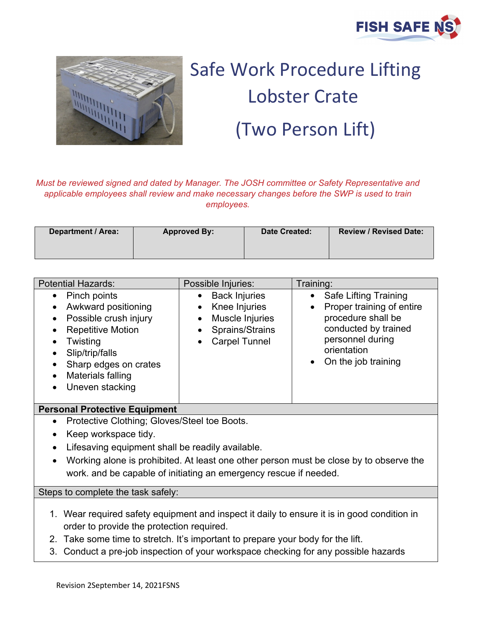



## Safe Work Procedure Lifting Lobster Crate (Two Person Lift)

*Must be reviewed signed and dated by Manager. The JOSH committee or Safety Representative and applicable employees shall review and make necessary changes before the SWP is used to train employees.*

| <b>Department / Area:</b> | <b>Approved By:</b> | <b>Date Created:</b> | <b>Review / Revised Date:</b> |
|---------------------------|---------------------|----------------------|-------------------------------|
|                           |                     |                      |                               |

| <b>Safe Lifting Training</b><br><b>Back Injuries</b><br>Pinch points<br>Proper training of entire<br>Knee Injuries<br>Awkward positioning                                                                                                                                                                               |
|-------------------------------------------------------------------------------------------------------------------------------------------------------------------------------------------------------------------------------------------------------------------------------------------------------------------------|
| procedure shall be<br>Muscle Injuries<br>Possible crush injury<br>conducted by trained<br>Sprains/Strains<br><b>Repetitive Motion</b><br>personnel during<br><b>Carpel Tunnel</b><br>Twisting<br>orientation<br>Slip/trip/falls<br>On the job training<br>Sharp edges on crates<br>Materials falling<br>Uneven stacking |

## **Personal Protective Equipment**

- Protective Clothing; Gloves/Steel toe Boots.
- Keep workspace tidy.
- Lifesaving equipment shall be readily available.
- Working alone is prohibited. At least one other person must be close by to observe the work. and be capable of initiating an emergency rescue if needed.

Steps to complete the task safely:

- 1. Wear required safety equipment and inspect it daily to ensure it is in good condition in order to provide the protection required.
- 2. Take some time to stretch. It's important to prepare your body for the lift.
- 3. Conduct a pre-job inspection of your workspace checking for any possible hazards